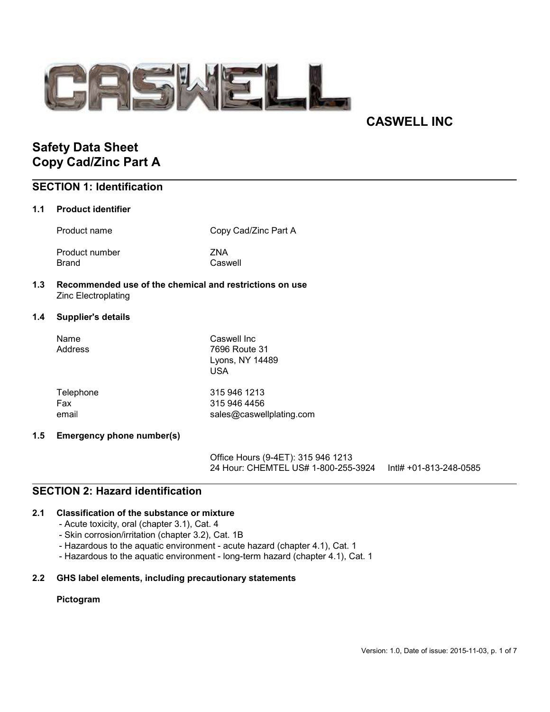

# CASWELL INC

# Safety Data Sheet Copy Cad/Zinc Part A

# SECTION 1: Identification

### 1.1 Product identifier

Product name Copy Cad/Zinc Part A

Product number ZNA Brand Caswell

# 1.3 Recommended use of the chemical and restrictions on use Zinc Electroplating

# 1.4 Supplier's details

| Name<br>Address | Caswell Inc<br>7696 Route 31<br>Lyons, NY 14489<br>USA |
|-----------------|--------------------------------------------------------|
| Telephone       | 315 946 1213                                           |
| Fax             | 315 946 4456                                           |
| email           | sales@caswellplating.com                               |

# 1.5 Emergency phone number(s)

Office Hours (9-4ET): 315 946 1213 24 Hour: CHEMTEL US# 1-800-255-3924 Intl# +01-813-248-0585

# SECTION 2: Hazard identification

# 2.1 Classification of the substance or mixture

- Acute toxicity, oral (chapter 3.1), Cat. 4
- Skin corrosion/irritation (chapter 3.2), Cat. 1B
- Hazardous to the aquatic environment acute hazard (chapter 4.1), Cat. 1
- Hazardous to the aquatic environment long-term hazard (chapter 4.1), Cat. 1

# 2.2 GHS label elements, including precautionary statements

### Pictogram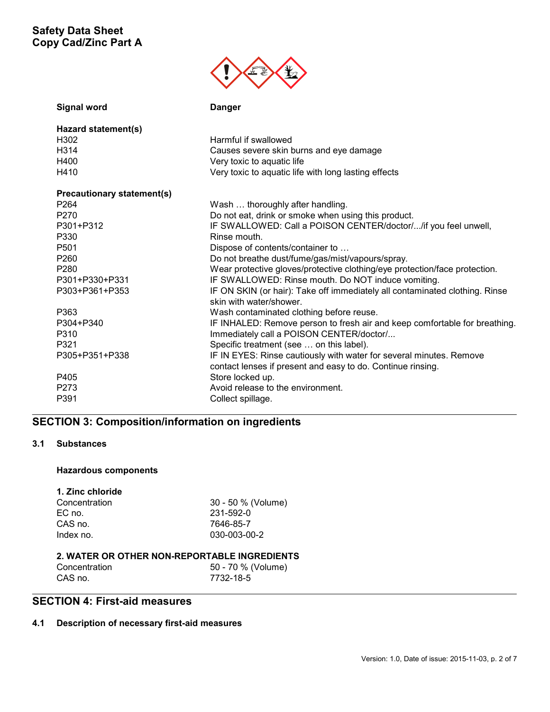

| <b>Signal word</b>                | <b>Danger</b>                                                                                          |
|-----------------------------------|--------------------------------------------------------------------------------------------------------|
| Hazard statement(s)               |                                                                                                        |
| H <sub>302</sub>                  | Harmful if swallowed                                                                                   |
| H <sub>3</sub> 14                 | Causes severe skin burns and eye damage                                                                |
| H400                              | Very toxic to aquatic life                                                                             |
| H410                              | Very toxic to aquatic life with long lasting effects                                                   |
| <b>Precautionary statement(s)</b> |                                                                                                        |
| P <sub>264</sub>                  | Wash  thoroughly after handling.                                                                       |
| P <sub>270</sub>                  | Do not eat, drink or smoke when using this product.                                                    |
| P301+P312                         | IF SWALLOWED: Call a POISON CENTER/doctor//if you feel unwell,                                         |
| P330                              | Rinse mouth.                                                                                           |
| P <sub>501</sub>                  | Dispose of contents/container to                                                                       |
| P <sub>260</sub>                  | Do not breathe dust/fume/gas/mist/vapours/spray.                                                       |
| P <sub>280</sub>                  | Wear protective gloves/protective clothing/eye protection/face protection.                             |
| P301+P330+P331                    | IF SWALLOWED: Rinse mouth. Do NOT induce vomiting.                                                     |
| P303+P361+P353                    | IF ON SKIN (or hair): Take off immediately all contaminated clothing. Rinse<br>skin with water/shower. |
| P363                              | Wash contaminated clothing before reuse.                                                               |
| P304+P340                         | IF INHALED: Remove person to fresh air and keep comfortable for breathing.                             |
| P310                              | Immediately call a POISON CENTER/doctor/                                                               |
| P321                              | Specific treatment (see  on this label).                                                               |
| P305+P351+P338                    | IF IN EYES: Rinse cautiously with water for several minutes. Remove                                    |
|                                   | contact lenses if present and easy to do. Continue rinsing.                                            |
| P405                              | Store locked up.                                                                                       |
| P <sub>273</sub>                  | Avoid release to the environment.                                                                      |
| P391                              | Collect spillage.                                                                                      |

# SECTION 3: Composition/information on ingredients

### 3.1 Substances

# Hazardous components

# 1. Zinc chloride

| 30 - 50 % (Volume) |
|--------------------|
| 231-592-0          |
| 7646-85-7          |
| 030-003-00-2       |
|                    |

## 2. WATER OR OTHER NON-REPORTABLE INGREDIENTS

| Concentration | 50 - 70 % (Volume) |
|---------------|--------------------|
| CAS no.       | 7732-18-5          |

# SECTION 4: First-aid measures

# 4.1 Description of necessary first-aid measures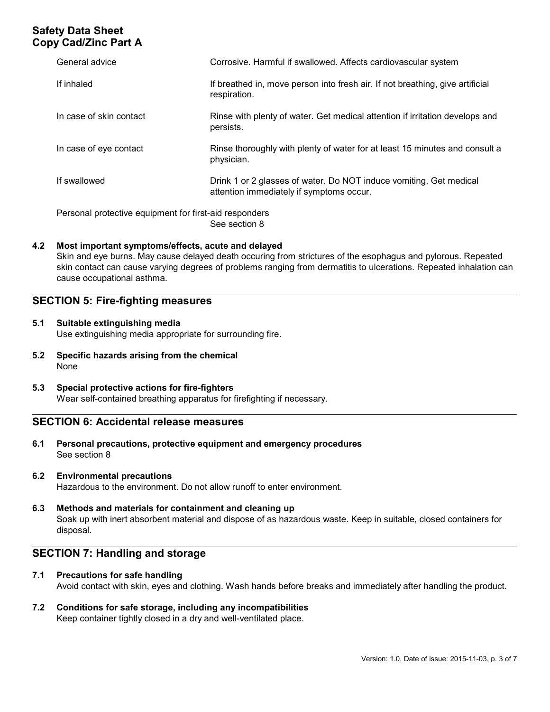| General advice                                         | Corrosive. Harmful if swallowed. Affects cardiovascular system                                                 |
|--------------------------------------------------------|----------------------------------------------------------------------------------------------------------------|
| If inhaled                                             | If breathed in, move person into fresh air. If not breathing, give artificial<br>respiration.                  |
| In case of skin contact                                | Rinse with plenty of water. Get medical attention if irritation develops and<br>persists.                      |
| In case of eye contact                                 | Rinse thoroughly with plenty of water for at least 15 minutes and consult a<br>physician.                      |
| If swallowed                                           | Drink 1 or 2 glasses of water. Do NOT induce vomiting. Get medical<br>attention immediately if symptoms occur. |
| Personal protective equipment for first-aid responders |                                                                                                                |

See section 8

# 4.2 Most important symptoms/effects, acute and delayed

Skin and eye burns. May cause delayed death occuring from strictures of the esophagus and pylorous. Repeated skin contact can cause varying degrees of problems ranging from dermatitis to ulcerations. Repeated inhalation can cause occupational asthma.

# SECTION 5: Fire-fighting measures

#### 5.1 Suitable extinguishing media Use extinguishing media appropriate for surrounding fire.

- 5.2 Specific hazards arising from the chemical None
- 5.3 Special protective actions for fire-fighters Wear self-contained breathing apparatus for firefighting if necessary.

# SECTION 6: Accidental release measures

6.1 Personal precautions, protective equipment and emergency procedures See section 8

# 6.2 Environmental precautions

Hazardous to the environment. Do not allow runoff to enter environment.

### 6.3 Methods and materials for containment and cleaning up Soak up with inert absorbent material and dispose of as hazardous waste. Keep in suitable, closed containers for disposal.

# SECTION 7: Handling and storage

### 7.1 Precautions for safe handling

Avoid contact with skin, eyes and clothing. Wash hands before breaks and immediately after handling the product.

#### 7.2 Conditions for safe storage, including any incompatibilities Keep container tightly closed in a dry and well-ventilated place.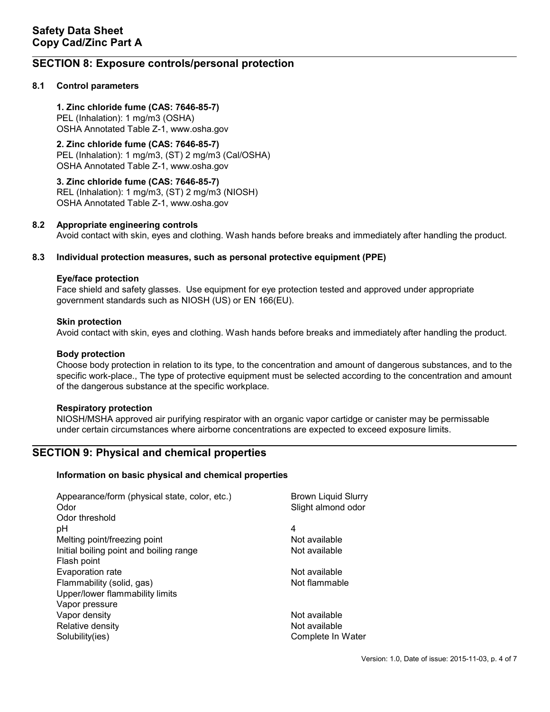# SECTION 8: Exposure controls/personal protection

# 8.1 Control parameters

1. Zinc chloride fume (CAS: 7646-85-7) PEL (Inhalation): 1 mg/m3 (OSHA) OSHA Annotated Table Z-1, www.osha.gov

# 2. Zinc chloride fume (CAS: 7646-85-7)

PEL (Inhalation): 1 mg/m3, (ST) 2 mg/m3 (Cal/OSHA) OSHA Annotated Table Z-1, www.osha.gov

3. Zinc chloride fume (CAS: 7646-85-7) REL (Inhalation): 1 mg/m3, (ST) 2 mg/m3 (NIOSH) OSHA Annotated Table Z-1, www.osha.gov

### 8.2 Appropriate engineering controls

Avoid contact with skin, eyes and clothing. Wash hands before breaks and immediately after handling the product.

### 8.3 Individual protection measures, such as personal protective equipment (PPE)

#### Eye/face protection

Face shield and safety glasses. Use equipment for eye protection tested and approved under appropriate government standards such as NIOSH (US) or EN 166(EU).

#### Skin protection

Avoid contact with skin, eyes and clothing. Wash hands before breaks and immediately after handling the product.

#### Body protection

Choose body protection in relation to its type, to the concentration and amount of dangerous substances, and to the specific work-place., The type of protective equipment must be selected according to the concentration and amount of the dangerous substance at the specific workplace.

### Respiratory protection

NIOSH/MSHA approved air purifying respirator with an organic vapor cartidge or canister may be permissable under certain circumstances where airborne concentrations are expected to exceed exposure limits.

# SECTION 9: Physical and chemical properties

### Information on basic physical and chemical properties

| Appearance/form (physical state, color, etc.) | <b>Brown Liquid Slurry</b> |
|-----------------------------------------------|----------------------------|
| Odor                                          | Slight almond odor         |
| Odor threshold                                |                            |
| рH                                            | 4                          |
| Melting point/freezing point                  | Not available              |
| Initial boiling point and boiling range       | Not available              |
| Flash point                                   |                            |
| Evaporation rate                              | Not available              |
| Flammability (solid, gas)                     | Not flammable              |
| Upper/lower flammability limits               |                            |
| Vapor pressure                                |                            |
| Vapor density                                 | Not available              |
| Relative density                              | Not available              |
| Solubility(ies)                               | Complete In Water          |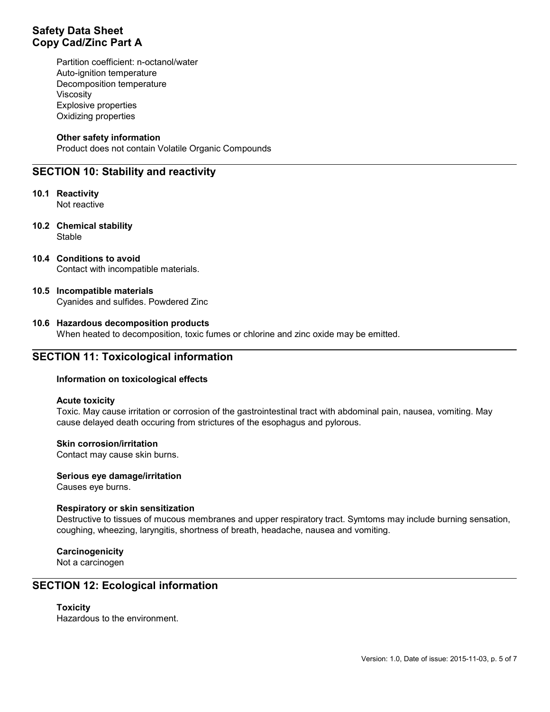Partition coefficient: n-octanol/water Auto-ignition temperature Decomposition temperature Viscosity Explosive properties Oxidizing properties

### Other safety information

Product does not contain Volatile Organic Compounds

# SECTION 10: Stability and reactivity

10.1 Reactivity Not reactive

- 10.2 Chemical stability **Stable**
- 10.4 Conditions to avoid Contact with incompatible materials.

### 10.5 Incompatible materials Cyanides and sulfides. Powdered Zinc

### 10.6 Hazardous decomposition products

When heated to decomposition, toxic fumes or chlorine and zinc oxide may be emitted.

# SECTION 11: Toxicological information

### Information on toxicological effects

#### Acute toxicity

Toxic. May cause irritation or corrosion of the gastrointestinal tract with abdominal pain, nausea, vomiting. May cause delayed death occuring from strictures of the esophagus and pylorous.

# Skin corrosion/irritation

Contact may cause skin burns.

#### Serious eye damage/irritation

Causes eye burns.

### Respiratory or skin sensitization

Destructive to tissues of mucous membranes and upper respiratory tract. Symtoms may include burning sensation, coughing, wheezing, laryngitis, shortness of breath, headache, nausea and vomiting.

**Carcinogenicity** 

Not a carcinogen

# SECTION 12: Ecological information

### **Toxicity**

Hazardous to the environment.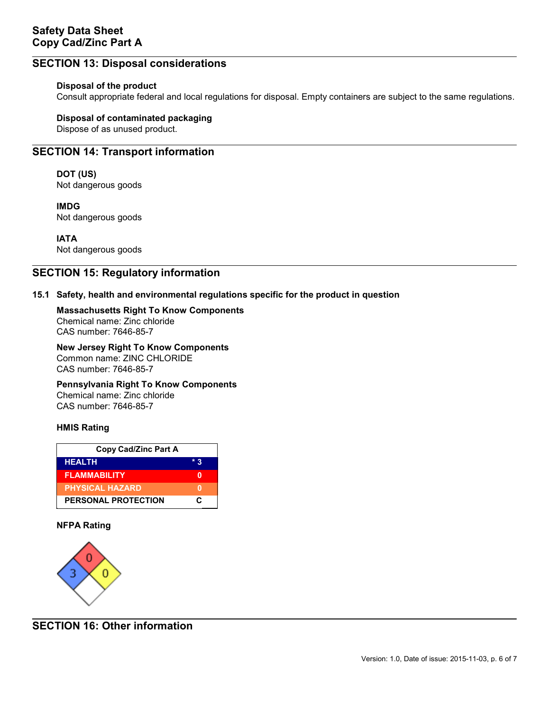# SECTION 13: Disposal considerations

## Disposal of the product

Consult appropriate federal and local regulations for disposal. Empty containers are subject to the same regulations.

### Disposal of contaminated packaging

Dispose of as unused product.

# SECTION 14: Transport information

# DOT (US)

Not dangerous goods

IMDG Not dangerous goods

IATA Not dangerous goods

# SECTION 15: Regulatory information

# 15.1 Safety, health and environmental regulations specific for the product in question

# Massachusetts Right To Know Components Chemical name: Zinc chloride

CAS number: 7646-85-7

#### New Jersey Right To Know Components Common name: ZINC CHLORIDE

CAS number: 7646-85-7

# Pennsylvania Right To Know Components

Chemical name: Zinc chloride CAS number: 7646-85-7

### HMIS Rating

| <b>Copy Cad/Zinc Part A</b> |       |  |
|-----------------------------|-------|--|
| <b>HEALTH</b>               | $*$ 2 |  |
| <b>FLAMMABILITY</b>         |       |  |
| <b>PHYSICAL HAZARD</b>      |       |  |
| PERSONAL PROTECTION         | c     |  |

# NFPA Rating



SECTION 16: Other information